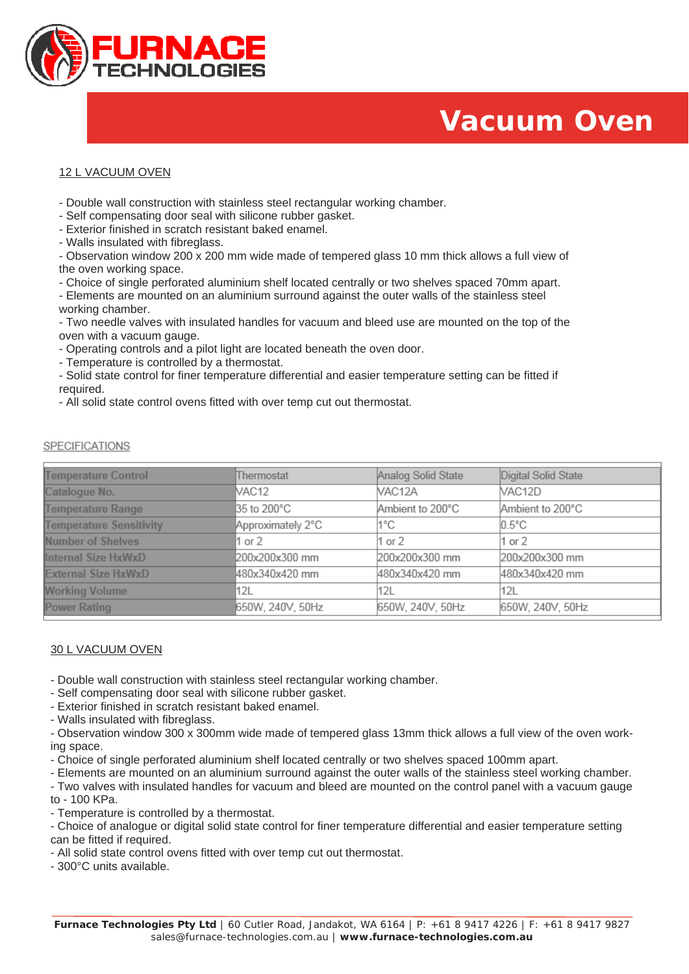

# **Vacuum Oven**

# 12 L VACUUM OVEN

- Double wall construction with stainless steel rectangular working chamber.
- Self compensating door seal with silicone rubber gasket.
- Exterior finished in scratch resistant baked enamel.
- Walls insulated with fibreglass.

- Observation window 200 x 200 mm wide made of tempered glass 10 mm thick allows a full view of the oven working space.

- Choice of single perforated aluminium shelf located centrally or two shelves spaced 70mm apart.
- Elements are mounted on an aluminium surround against the outer walls of the stainless steel working chamber.

- Two needle valves with insulated handles for vacuum and bleed use are mounted on the top of the oven with a vacuum gauge.

- Operating controls and a pilot light are located beneath the oven door.
- Temperature is controlled by a thermostat.
- Solid state control for finer temperature differential and easier temperature setting can be fitted if required.
- All solid state control ovens fitted with over temp cut out thermostat.

| <b>Temperature Control</b>     | Thermostat        | Analog Solid State | Digital Solid State |
|--------------------------------|-------------------|--------------------|---------------------|
| Catalogue No.                  | VAC12             | VAC12A             | VAC12D              |
| <b>Temperature Range</b>       | 35 to 200°C       | Ambient to 200°C   | Ambient to 200°C    |
| <b>Temperature Sensitivity</b> | Approximately 2°C | 1°C.               | $0.5^{\circ}$ C     |
| <b>Number of Shelves</b>       | 1 or 2            | 1 or 2             | $1$ or $2$          |
| Internal Size HxWxD            | 200x200x300 mm    | 200x200x300 mm     | 200x200x300 mm      |
| <b>External Size HxWxD</b>     | 480x340x420 mm    | 480x340x420 mm     | 480x340x420 mm      |
| <b>Working Volume</b>          | 12L               | 12L                | 112L                |
| <b>Power Rating</b>            | 650W, 240V, 50Hz  | 650W, 240V, 50Hz   | 650W, 240V, 50Hz    |

### **SPECIFICATIONS**

# 30 L VACUUM OVEN

- Double wall construction with stainless steel rectangular working chamber.
- Self compensating door seal with silicone rubber gasket.
- Exterior finished in scratch resistant baked enamel.
- Walls insulated with fibreglass.

- Observation window 300 x 300mm wide made of tempered glass 13mm thick allows a full view of the oven working space.

- Choice of single perforated aluminium shelf located centrally or two shelves spaced 100mm apart.
- Elements are mounted on an aluminium surround against the outer walls of the stainless steel working chamber.

- Two valves with insulated handles for vacuum and bleed are mounted on the control panel with a vacuum gauge

to - 100 KPa. - Temperature is controlled by a thermostat.

- Choice of analogue or digital solid state control for finer temperature differential and easier temperature setting can be fitted if required.

- All solid state control ovens fitted with over temp cut out thermostat.

- 300°C units available.